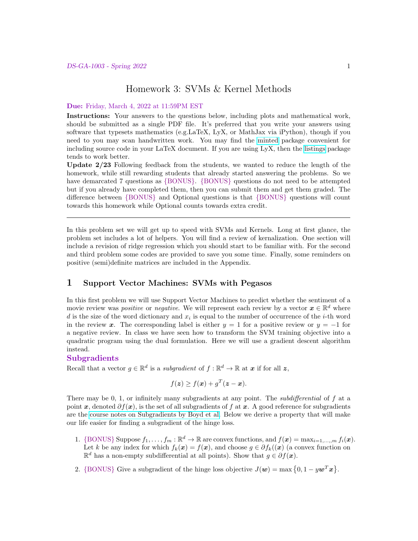## Homework 3: SVMs & Kernel Methods

#### Due: Friday, March 4, 2022 at 11:59PM EST

Instructions: Your answers to the questions below, including plots and mathematical work, should be submitted as a single PDF file. It's preferred that you write your answers using software that typesets mathematics (e.g.LaTeX, LyX, or MathJax via iPython), though if you need to you may scan handwritten work. You may find the [minted](https://github.com/gpoore/minted) package convenient for including source code in your LaTeX document. If you are using LyX, then the [listings](https://en.wikibooks.org/wiki/LaTeX/Source_Code_Listings) package tends to work better.

Update 2/23 Following feedback from the students, we wanted to reduce the length of the homework, while still rewarding students that already started answering the problems. So we have demarcated 7 questions as  ${BONUS}$ .  ${BONUS}$  questions do not need to be attempted but if you already have completed them, then you can submit them and get them graded. The difference between {BONUS} and Optional questions is that {BONUS} questions will count towards this homework while Optional counts towards extra credit.

In this problem set we will get up to speed with SVMs and Kernels. Long at first glance, the problem set includes a lot of helpers. You will find a review of kernalization. One section will include a revision of ridge regression which you should start to be familiar with. For the second and third problem some codes are provided to save you some time. Finally, some reminders on positive (semi)definite matrices are included in the Appendix.

## 1 Support Vector Machines: SVMs with Pegasos

In this first problem we will use Support Vector Machines to predict whether the sentiment of a movie review was *positive* or *negative*. We will represent each review by a vector  $\mathbf{x} \in \mathbb{R}^d$  where d is the size of the word dictionary and  $x_i$  is equal to the number of occurrence of the *i*-th word in the review x. The corresponding label is either  $y = 1$  for a positive review or  $y = -1$  for a negative review. In class we have seen how to transform the SVM training objective into a quadratic program using the dual formulation. Here we will use a gradient descent algorithm instead.

#### Subgradients

Recall that a vector  $g \in \mathbb{R}^d$  is a subgradient of  $f : \mathbb{R}^d \to \mathbb{R}$  at  $x$  if for all  $z$ ,

$$
f(\boldsymbol{z}) \ge f(\boldsymbol{x}) + g^T(\boldsymbol{z} - \boldsymbol{x}).
$$

There may be 0, 1, or infinitely many subgradients at any point. The *subdifferential* of f at a point x, denoted  $\partial f(x)$ , is the set of all subgradients of f at x. A good reference for subgradients are the [course notes on Subgradients by Boyd et al.](https://stanford.edu/class/ee364b/lectures/subgradients_notes.pdf) Below we derive a property that will make our life easier for finding a subgradient of the hinge loss.

- 1. {BONUS} Suppose  $f_1, \ldots, f_m : \mathbb{R}^d \to \mathbb{R}$  are convex functions, and  $f(\boldsymbol{x}) = \max_{i=1,\ldots,m} f_i(\boldsymbol{x})$ . Let k be any index for which  $f_k(x) = f(x)$ , and choose  $g \in \partial f_k(x)$  (a convex function on  $\mathbb{R}^d$  has a non-empty subdifferential at all points). Show that  $g \in \partial f(\boldsymbol{x})$ .
- 2. {BONUS} Give a subgradient of the hinge loss objective  $J(\mathbf{w}) = \max\{0, 1 y\mathbf{w}^T\mathbf{x}\}.$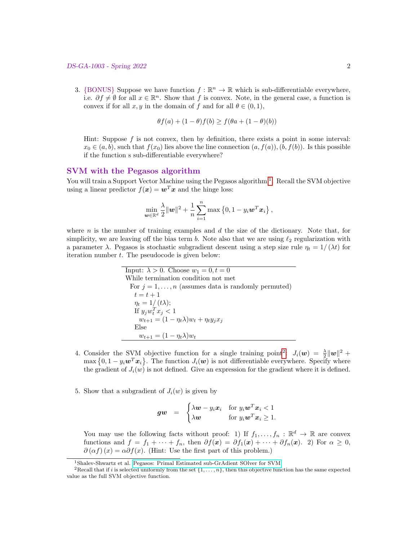3. {BONUS} Suppose we have function  $f : \mathbb{R}^n \to \mathbb{R}$  which is sub-differentiable everywhere, i.e.  $\partial f \neq \emptyset$  for all  $x \in \mathbb{R}^n$ . Show that f is convex. Note, in the general case, a function is convex if for all  $x, y$  in the domain of f and for all  $\theta \in (0, 1)$ ,

$$
\theta f(a) + (1 - \theta)f(b) \ge f(\theta a + (1 - \theta)(b))
$$

Hint: Suppose  $f$  is not convex, then by definition, there exists a point in some interval:  $x_0 \in (a, b)$ , such that  $f(x_0)$  lies above the line connection  $(a, f(a)), (b, f(b))$ . Is this possible if the function s sub-differentiable everywhere?

## SVM with the Pegasos algorithm

You will train a Support Vector Machine using the Pegasos algorithm<sup>[1](#page-1-0)</sup>. Recall the SVM objective using a linear predictor  $f(x) = \boldsymbol{w}^T \boldsymbol{x}$  and the hinge loss:

$$
\min_{\boldsymbol{w}\in\mathbb{R}^d} \frac{\lambda}{2} \|\boldsymbol{w}\|^2 + \frac{1}{n}\sum_{i=1}^n \max\left\{0, 1 - y_i \boldsymbol{w}^T \boldsymbol{x}_i\right\},\
$$

where n is the number of training examples and  $d$  the size of the dictionary. Note that, for simplicity, we are leaving off the bias term b. Note also that we are using  $\ell_2$  regularization with a parameter  $\lambda$ . Pegasos is stochastic subgradient descent using a step size rule  $\eta_t = 1/(\lambda t)$  for iteration number  $t$ . The pseudocode is given below:

> Input:  $\lambda > 0$ . Choose  $w_1 = 0, t = 0$ While termination condition not met For  $j = 1, \ldots, n$  (assumes data is randomly permuted)  $t = t + 1$  $\eta_t = 1/(t\lambda);$ If  $y_j w_t^T x_j < 1$  $w_{t+1} = (1 - \eta_t \lambda) w_t + \eta_t y_j x_j$ Else  $w_{t+1} = (1 - \eta_t \lambda) w_t$

- 4. Consider the SVM objective function for a single training point<sup>[2](#page-1-1)</sup>:  $J_i(\boldsymbol{w}) = \frac{\lambda}{2} ||\boldsymbol{w}||^2 +$  $\max\left\{0,1-y_i\boldsymbol{w}^T\boldsymbol{x}_i\right\}$ . The function  $J_i(\boldsymbol{w})$  is not differentiable everywhere. Specify where the gradient of  $J_i(w)$  is not defined. Give an expression for the gradient where it is defined.
- 5. Show that a subgradient of  $J_i(w)$  is given by

$$
gw = \begin{cases} \lambda w - y_i x_i & \text{for } y_i w^T x_i < 1 \\ \lambda w & \text{for } y_i w^T x_i \ge 1. \end{cases}
$$

You may use the following facts without proof: 1) If  $f_1, \ldots, f_n : \mathbb{R}^d \to \mathbb{R}$  are convex functions and  $f = f_1 + \cdots + f_n$ , then  $\partial f(x) = \partial f_1(x) + \cdots + \partial f_n(x)$ . 2) For  $\alpha \geq 0$ ,  $\partial(\alpha f)(x) = \alpha \partial f(x)$ . (Hint: Use the first part of this problem.)

<span id="page-1-1"></span><span id="page-1-0"></span><sup>1</sup>Shalev-Shwartz et al. [Pegasos: Primal Estimated sub-GrAdient SOlver for SVM.](http://ttic.uchicago.edu/~nati/Publications/PegasosMPB.pdf)

<sup>&</sup>lt;sup>2</sup>Recall that if i is selected uniformly from the set  $\{1, \ldots, n\}$ , then this objective function has the same expected value as the full SVM objective function.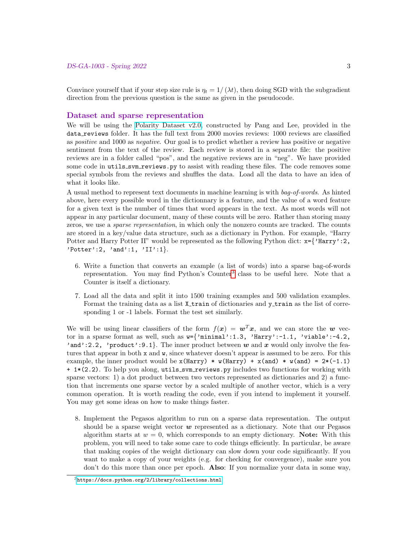Convince yourself that if your step size rule is  $\eta_t = 1/(\lambda t)$ , then doing SGD with the subgradient direction from the previous question is the same as given in the pseudocode.

#### Dataset and sparse representation

We will be using the [Polarity Dataset v2.0,](https://www.cs.cornell.edu/people/pabo/movie-review-data/) constructed by Pang and Lee, provided in the data reviews folder. It has the full text from 2000 movies reviews: 1000 reviews are classified as positive and 1000 as negative. Our goal is to predict whether a review has positive or negative sentiment from the text of the review. Each review is stored in a separate file: the positive reviews are in a folder called "pos", and the negative reviews are in "neg". We have provided some code in utils\_svm\_reviews.py to assist with reading these files. The code removes some special symbols from the reviews and shuffles the data. Load all the data to have an idea of what it looks like.

A usual method to represent text documents in machine learning is with bag-of-words. As hinted above, here every possible word in the dictionnary is a feature, and the value of a word feature for a given text is the number of times that word appears in the text. As most words will not appear in any particular document, many of these counts will be zero. Rather than storing many zeros, we use a sparse representation, in which only the nonzero counts are tracked. The counts are stored in a key/value data structure, such as a dictionary in Python. For example, "Harry Potter and Harry Potter II" would be represented as the following Python dict:  $x = \{ 'Harry': 2,$ 'Potter':2, 'and':1, ' $II':1$ }.

- 6. Write a function that converts an example (a list of words) into a sparse bag-of-words representation. You may find Python's Counter<sup>[3](#page-2-0)</sup> class to be useful here. Note that a Counter is itself a dictionary.
- 7. Load all the data and split it into 1500 training examples and 500 validation examples. Format the training data as a list X<sub>-</sub>train of dictionaries and y<sub>-train</sub> as the list of corresponding 1 or -1 labels. Format the test set similarly.

We will be using linear classifiers of the form  $f(x) = w^T x$ , and we can store the w vector in a sparse format as well, such as  $w=\{^{\prime}\text{minimal}\}\$ :1.3, 'Harry':-1.1, 'viable':-4.2, 'and':2.2, 'product':9.1}. The inner product between w and x would only involve the features that appear in both x and w, since whatever doesn't appear is assumed to be zero. For this example, the inner product would be  $x(Harry) * w(Harry) + x(and) * w(and) = 2*(-1.1)$ + 1\*(2.2). To help you along, utils svm reviews.py includes two functions for working with sparse vectors: 1) a dot product between two vectors represented as dictionaries and 2) a function that increments one sparse vector by a scaled multiple of another vector, which is a very common operation. It is worth reading the code, even if you intend to implement it yourself. You may get some ideas on how to make things faster.

8. Implement the Pegasos algorithm to run on a sparse data representation. The output should be a sparse weight vector  $w$  represented as a dictionary. Note that our Pegasos algorithm starts at  $w = 0$ , which corresponds to an empty dictionary. Note: With this problem, you will need to take some care to code things efficiently. In particular, be aware that making copies of the weight dictionary can slow down your code significantly. If you want to make a copy of your weights (e.g. for checking for convergence), make sure you don't do this more than once per epoch. Also: If you normalize your data in some way,

<span id="page-2-0"></span> $3$ <https://docs.python.org/2/library/collections.html>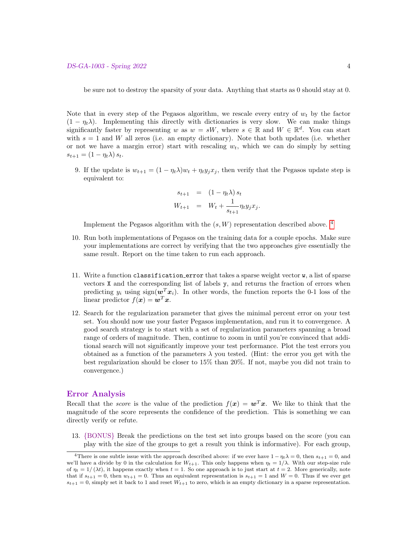be sure not to destroy the sparsity of your data. Anything that starts as 0 should stay at 0.

Note that in every step of the Pegasos algorithm, we rescale every entry of  $w_t$  by the factor  $(1 - \eta_t \lambda)$ . Implementing this directly with dictionaries is very slow. We can make things significantly faster by representing w as  $w = sW$ , where  $s \in \mathbb{R}$  and  $W \in \mathbb{R}^d$ . You can start with  $s = 1$  and W all zeros (i.e. an empty dictionary). Note that both updates (i.e. whether or not we have a margin error) start with rescaling  $w_t$ , which we can do simply by setting  $s_{t+1} = (1 - \eta_t \lambda) s_t.$ 

9. If the update is  $w_{t+1} = (1 - \eta_t \lambda) w_t + \eta_t y_i x_i$ , then verify that the Pegasos update step is equivalent to:

$$
s_{t+1} = (1 - \eta_t \lambda) s_t W_{t+1} = W_t + \frac{1}{s_{t+1}} \eta_t y_j x_j.
$$

Implement the Pegasos algorithm with the  $(s, W)$  representation described above.<sup>[4](#page-3-0)</sup>

- 10. Run both implementations of Pegasos on the training data for a couple epochs. Make sure your implementations are correct by verifying that the two approaches give essentially the same result. Report on the time taken to run each approach.
- 11. Write a function classification error that takes a sparse weight vector w, a list of sparse vectors X and the corresponding list of labels y, and returns the fraction of errors when predicting  $y_i$  using sign( $\mathbf{w}^T \mathbf{x}_i$ ). In other words, the function reports the 0-1 loss of the linear predictor  $f(x) = \boldsymbol{w}^T \boldsymbol{x}$ .
- 12. Search for the regularization parameter that gives the minimal percent error on your test set. You should now use your faster Pegasos implementation, and run it to convergence. A good search strategy is to start with a set of regularization parameters spanning a broad range of orders of magnitude. Then, continue to zoom in until you're convinced that additional search will not significantly improve your test performance. Plot the test errors you obtained as a function of the parameters  $\lambda$  you tested. (Hint: the error you get with the best regularization should be closer to 15% than 20%. If not, maybe you did not train to convergence.)

## Error Analysis

Recall that the *score* is the value of the prediction  $f(x) = w^T x$ . We like to think that the magnitude of the score represents the confidence of the prediction. This is something we can directly verify or refute.

13. {BONUS} Break the predictions on the test set into groups based on the score (you can play with the size of the groups to get a result you think is informative). For each group,

<span id="page-3-0"></span><sup>&</sup>lt;sup>4</sup>There is one subtle issue with the approach described above: if we ever have  $1 - \eta_t \lambda = 0$ , then  $s_{t+1} = 0$ , and we'll have a divide by 0 in the calculation for  $W_{t+1}$ . This only happens when  $\eta_t = 1/\lambda$ . With our step-size rule of  $\eta_t = 1/(\lambda t)$ , it happens exactly when  $t = 1$ . So one approach is to just start at  $t = 2$ . More generically, note that if  $s_{t+1} = 0$ , then  $w_{t+1} = 0$ . Thus an equivalent representation is  $s_{t+1} = 1$  and  $W = 0$ . Thus if we ever get  $s_{t+1} = 0$ , simply set it back to 1 and reset  $W_{t+1}$  to zero, which is an empty dictionary in a sparse representation.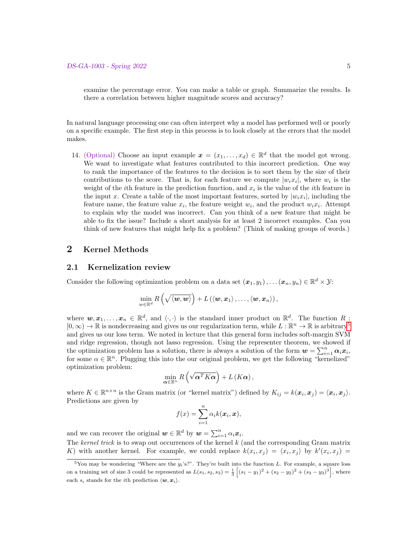examine the percentage error. You can make a table or graph. Summarize the results. Is there a correlation between higher magnitude scores and accuracy?

In natural language processing one can often interpret why a model has performed well or poorly on a specific example. The first step in this process is to look closely at the errors that the model makes.

14. (Optional) Choose an input example  $\boldsymbol{x} = (x_1, \ldots, x_d) \in \mathbb{R}^d$  that the model got wrong. We want to investigate what features contributed to this incorrect prediction. One way to rank the importance of the features to the decision is to sort them by the size of their contributions to the score. That is, for each feature we compute  $|w_i x_i|$ , where  $w_i$  is the weight of the *i*th feature in the prediction function, and  $x_i$  is the value of the *i*th feature in the input x. Create a table of the most important features, sorted by  $|w_i x_i|$ , including the feature name, the feature value  $x_i$ , the feature weight  $w_i$ , and the product  $w_i x_i$ . Attempt to explain why the model was incorrect. Can you think of a new feature that might be able to fix the issue? Include a short analysis for at least 2 incorrect examples. Can you think of new features that might help fix a problem? (Think of making groups of words.)

## 2 Kernel Methods

## 2.1 Kernelization review

Consider the following optimization problem on a data set  $(x_1, y_1), \ldots, (x_n, y_n) \in \mathbb{R}^d \times \mathcal{Y}$ :

$$
\min_{w \in \mathbb{R}^d} R\left(\sqrt{\langle \boldsymbol{w}, \boldsymbol{w} \rangle}\right) + L\left(\langle \boldsymbol{w}, \boldsymbol{x}_1 \rangle, \ldots, \langle \boldsymbol{w}, \boldsymbol{x}_n \rangle\right),
$$

where  $w, x_1, \ldots, x_n \in \mathbb{R}^d$ , and  $\langle \cdot, \cdot \rangle$  is the standard inner product on  $\mathbb{R}^d$ . The function R:  $[0,\infty) \to \mathbb{R}$  is nondecreasing and gives us our regularization term, while  $L : \mathbb{R}^n \to \mathbb{R}$  is arbitrary<sup>[5](#page-4-0)</sup> and gives us our loss term. We noted in lecture that this general form includes soft-margin SVM and ridge regression, though not lasso regression. Using the representer theorem, we showed if the optimization problem has a solution, there is always a solution of the form  $w = \sum_{i=1}^{n} \alpha_i x_i$ , for some  $\alpha \in \mathbb{R}^n$ . Plugging this into the our original problem, we get the following "kernelized" optimization problem:

$$
\min_{\alpha \in \mathbb{R}^n} R\left(\sqrt{\alpha^T K \alpha}\right) + L\left(K \alpha\right),\
$$

where  $K \in \mathbb{R}^{n \times n}$  is the Gram matrix (or "kernel matrix") defined by  $K_{ij} = k(\boldsymbol{x}_i, \boldsymbol{x}_j) = \langle \boldsymbol{x}_i, \boldsymbol{x}_j \rangle$ . Predictions are given by

$$
f(x) = \sum_{i=1}^{n} \alpha_i k(\boldsymbol{x}_i, \boldsymbol{x}),
$$

and we can recover the original  $\mathbf{w} \in \mathbb{R}^d$  by  $\mathbf{w} = \sum_{i=1}^n \alpha_i \mathbf{x}_i$ . The kernel trick is to swap out occurrences of the kernel  $k$  (and the corresponding Gram matrix

K) with another kernel. For example, we could replace  $k(x_i, x_j) = \langle x_i, x_j \rangle$  by  $k'(x_i, x_j) =$ 

<span id="page-4-0"></span> $5$ You may be wondering "Where are the  $y_i$ 's?". They're built into the function L. For example, a square loss on a training set of size 3 could be represented as  $L(s_1, s_2, s_3) = \frac{1}{3} \left[ (s_1 - y_1)^2 + (s_2 - y_2)^2 + (s_3 - y_3)^3 \right]$ , where each  $s_i$  stands for the *i*<sup>th</sup> prediction  $\langle w, x_i \rangle$ .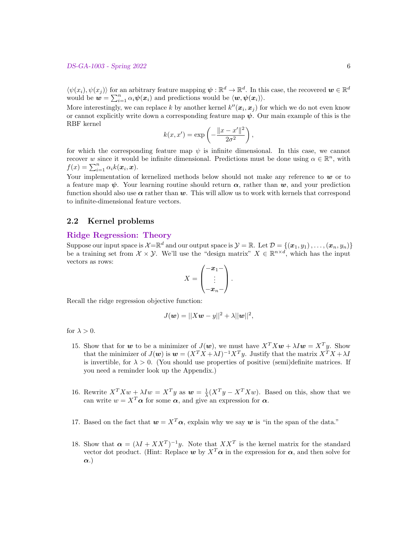$\langle \psi(x_i), \psi(x_j) \rangle$  for an arbitrary feature mapping  $\psi : \mathbb{R}^d \to \mathbb{R}^d$ . In this case, the recovered  $w \in \mathbb{R}^d$ would be  $w = \sum_{i=1}^n \alpha_i \psi(x_i)$  and predictions would be  $\langle w, \psi(x_i) \rangle$ .

More interestingly, we can replace k by another kernel  $k''(\mathbf{x}_i, \mathbf{x}_j)$  for which we do not even know or cannot explicitly write down a corresponding feature map  $\psi$ . Our main example of this is the RBF kernel

$$
k(x, x') = \exp\left(-\frac{\|x - x'\|^2}{2\sigma^2}\right),\,
$$

for which the corresponding feature map  $\psi$  is infinite dimensional. In this case, we cannot recover w since it would be infinite dimensional. Predictions must be done using  $\alpha \in \mathbb{R}^n$ , with  $f(x) = \sum_{i=1}^{n} \alpha_i k(\boldsymbol{x}_i, \boldsymbol{x}).$ 

Your implementation of kernelized methods below should not make any reference to  $w$  or to a feature map  $\psi$ . Your learning routine should return  $\alpha$ , rather than  $\psi$ , and your prediction function should also use  $\alpha$  rather than w. This will allow us to work with kernels that correspond to infinite-dimensional feature vectors.

## 2.2 Kernel problems

## Ridge Regression: Theory

Suppose our input space is  $\mathcal{X}=\mathbb{R}^d$  and our output space is  $\mathcal{Y}=\mathbb{R}$ . Let  $\mathcal{D}=\{(\boldsymbol{x}_1,y_1),\ldots,(\boldsymbol{x}_n,y_n)\}$ be a training set from  $\mathcal{X} \times \mathcal{Y}$ . We'll use the "design matrix"  $X \in \mathbb{R}^{n \times d}$ , which has the input vectors as rows:

$$
X = \begin{pmatrix} -x_1 - \\ \vdots \\ -x_n - \end{pmatrix}.
$$

Recall the ridge regression objective function:

$$
J(\bm{w}) = ||X\bm{w} - y||^2 + \lambda ||\bm{w}||^2,
$$

for  $\lambda > 0$ .

- 15. Show that for w to be a minimizer of  $J(\mathbf{w})$ , we must have  $X^T X \mathbf{w} + \lambda I \mathbf{w} = X^T y$ . Show that the minimizer of  $J(\boldsymbol{w})$  is  $\boldsymbol{w} = (X^T X + \lambda I)^{-1} X^T y$ . Justify that the matrix  $X^T X + \lambda I$ is invertible, for  $\lambda > 0$ . (You should use properties of positive (semi)definite matrices. If you need a reminder look up the Appendix.)
- 16. Rewrite  $X^T X w + \lambda I w = X^T y$  as  $w = \frac{1}{\lambda} (X^T y X^T X w)$ . Based on this, show that we can write  $w = X^T \alpha$  for some  $\alpha$ , and give an expression for  $\alpha$ .
- 17. Based on the fact that  $w = X^T \alpha$ , explain why we say w is "in the span of the data."
- 18. Show that  $\alpha = (\lambda I + XX^T)^{-1}y$ . Note that  $XX^T$  is the kernel matrix for the standard vector dot product. (Hint: Replace w by  $X^T$  a in the expression for  $\alpha$ , and then solve for α.)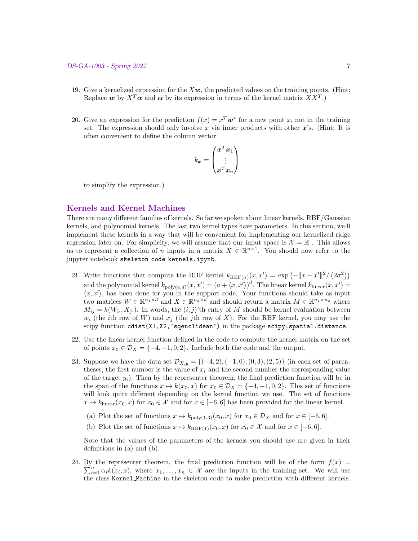#### DS-GA-1003 - Spring 2022 7

- 19. Give a kernelized expression for the  $X\mathbf{w}$ , the predicted values on the training points. (Hint: Replace  $w$  by  $X^T \alpha$  and  $\alpha$  by its expression in terms of the kernel matrix  $XX^T$ .)
- 20. Give an expression for the prediction  $f(x) = x^T w^*$  for a new point x, not in the training set. The expression should only involve x via inner products with other  $x$ 's. (Hint: It is often convenient to define the column vector

$$
k_{\boldsymbol{x}}=\begin{pmatrix}\boldsymbol{x}^T\boldsymbol{x}_1 \\ \vdots \\ \boldsymbol{x}^T\boldsymbol{x}_n\end{pmatrix}
$$

to simplify the expression.)

## Kernels and Kernel Machines

There are many different families of kernels. So far we spoken about linear kernels, RBF/Gaussian kernels, and polynomial kernels. The last two kernel types have parameters. In this section, we'll implement these kernels in a way that will be convenient for implementing our kernelized ridge regression later on. For simplicity, we will assume that our input space is  $\mathcal{X} = \mathbb{R}$ . This allows us to represent a collection of n inputs in a matrix  $X \in \mathbb{R}^{n \times 1}$ . You should now refer to the jupyter notebook skeleton code kernels.ipynb.

- 21. Write functions that compute the RBF kernel  $k_{RBF(\sigma)}(x, x') = \exp(-||x x'||^2/(2\sigma^2))$ and the polynomial kernel  $k_{poly(a,d)}(x, x') = (a + \langle x, x' \rangle)^d$ . The linear kernel  $k_{linear}(x, x') =$  $\langle x, x' \rangle$ , has been done for you in the support code. Your functions should take as input two matrices  $W \in \mathbb{R}^{n_1 \times d}$  and  $X \in \mathbb{R}^{n_2 \times d}$  and should return a matrix  $M \in \mathbb{R}^{n_1 \times n_2}$  where  $M_{ij} = k(W_i, X_j)$ . In words, the  $(i, j)$ 'th entry of M should be kernel evaluation between  $w_i$  (the ith row of W) and  $x_j$  (the jth row of X). For the RBF kernel, you may use the scipy function cdist(X1,X2,'sqeuclidean') in the package scipy.spatial.distance.
- 22. Use the linear kernel function defined in the code to compute the kernel matrix on the set of points  $x_0 \in \mathcal{D}_X = \{-4, -1, 0, 2\}$ . Include both the code and the output.
- 23. Suppose we have the data set  $\mathcal{D}_{X,y} = \{(-4,2), (-1,0), (0,3), (2,5)\}$  (in each set of parentheses, the first number is the value of  $x_i$  and the second number the corresponding value of the target  $y_i$ ). Then by the representer theorem, the final prediction function will be in the span of the functions  $x \mapsto k(x_0, x)$  for  $x_0 \in \mathcal{D}_X = \{-4, -1, 0, 2\}$ . This set of functions will look quite different depending on the kernel function we use. The set of functions  $x \mapsto k_{\text{linear}}(x_0, x)$  for  $x_0 \in \mathcal{X}$  and for  $x \in [-6, 6]$  has been provided for the linear kernel.
	- (a) Plot the set of functions  $x \mapsto k_{\text{poly}(1,3)}(x_0, x)$  for  $x_0 \in \mathcal{D}_X$  and for  $x \in [-6, 6]$ .
	- (b) Plot the set of functions  $x \mapsto k_{\text{RBF}(1)}(x_0, x)$  for  $x_0 \in \mathcal{X}$  and for  $x \in [-6, 6]$ .

Note that the values of the parameters of the kernels you should use are given in their definitions in (a) and (b).

24. By the representer theorem, the final prediction function will be of the form  $f(x)$  $\sum_{i=1}^n \alpha_i k(x_i, x)$ , where  $x_1, \ldots, x_n \in \mathcal{X}$  are the inputs in the training set. We will use the class Kernel Machine in the skeleton code to make prediction with different kernels.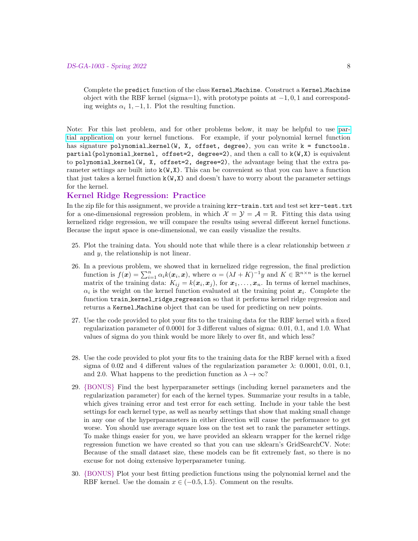Complete the predict function of the class Kernel Machine. Construct a Kernel Machine object with the RBF kernel (sigma=1), with prototype points at  $-1, 0, 1$  and corresponding weights  $\alpha_i$  1, -1, 1. Plot the resulting function.

Note: For this last problem, and for other problems below, it may be helpful to use [par](https://en.wikipedia.org/wiki/Partial_application)[tial application](https://en.wikipedia.org/wiki/Partial_application) on your kernel functions. For example, if your polynomial kernel function has signature polynomial kernel(W, X, offset, degree), you can write  $k =$  functools. partial(polynomial kernel, offset=2, degree=2), and then a call to k(W,X) is equivalent to polynomial kernel(W, X, offset=2, degree=2), the advantage being that the extra parameter settings are built into  $k(W, X)$ . This can be convenient so that you can have a function that just takes a kernel function  $k(W, X)$  and doesn't have to worry about the parameter settings for the kernel.

## Kernel Ridge Regression: Practice

In the zip file for this assignment, we provide a training krr-train.txt and test set krr-test.txt for a one-dimensional regression problem, in which  $\mathcal{X} = \mathcal{Y} = \mathcal{A} = \mathbb{R}$ . Fitting this data using kernelized ridge regression, we will compare the results using several different kernel functions. Because the input space is one-dimensional, we can easily visualize the results.

- 25. Plot the training data. You should note that while there is a clear relationship between  $x$ and y, the relationship is not linear.
- 26. In a previous problem, we showed that in kernelized ridge regression, the final prediction function is  $f(\mathbf{x}) = \sum_{i=1}^{n} \alpha_i k(\mathbf{x}_i, \mathbf{x})$ , where  $\alpha = (\lambda I + K)^{-1}y$  and  $K \in \mathbb{R}^{n \times n}$  is the kernel matrix of the training data:  $K_{ij} = k(x_i, x_j)$ , for  $x_1, \ldots, x_n$ . In terms of kernel machines,  $\alpha_i$  is the weight on the kernel function evaluated at the training point  $x_i$ . Complete the function train kernel ridge regression so that it performs kernel ridge regression and returns a Kernel Machine object that can be used for predicting on new points.
- 27. Use the code provided to plot your fits to the training data for the RBF kernel with a fixed regularization parameter of 0.0001 for 3 different values of sigma: 0.01, 0.1, and 1.0. What values of sigma do you think would be more likely to over fit, and which less?
- 28. Use the code provided to plot your fits to the training data for the RBF kernel with a fixed sigma of 0.02 and 4 different values of the regularization parameter  $\lambda$ : 0.0001, 0.01, 0.1, and 2.0. What happens to the prediction function as  $\lambda \to \infty$ ?
- 29. {BONUS} Find the best hyperparameter settings (including kernel parameters and the regularization parameter) for each of the kernel types. Summarize your results in a table, which gives training error and test error for each setting. Include in your table the best settings for each kernel type, as well as nearby settings that show that making small change in any one of the hyperparameters in either direction will cause the performance to get worse. You should use average square loss on the test set to rank the parameter settings. To make things easier for you, we have provided an sklearn wrapper for the kernel ridge regression function we have created so that you can use sklearn's GridSearchCV. Note: Because of the small dataset size, these models can be fit extremely fast, so there is no excuse for not doing extensive hyperparameter tuning.
- 30. {BONUS} Plot your best fitting prediction functions using the polynomial kernel and the RBF kernel. Use the domain  $x \in (-0.5, 1.5)$ . Comment on the results.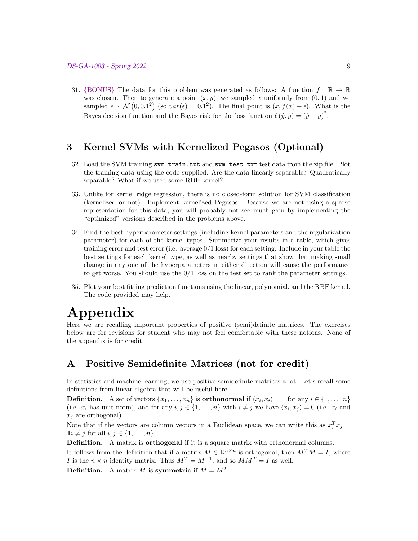31. {BONUS} The data for this problem was generated as follows: A function  $f : \mathbb{R} \to \mathbb{R}$ was chosen. Then to generate a point  $(x, y)$ , we sampled x uniformly from  $(0, 1)$  and we sampled  $\epsilon \sim \mathcal{N}(0, 0.1^2)$  (so  $var(\epsilon) = 0.1^2$ ). The final point is  $(x, f(x) + \epsilon)$ . What is the Bayes decision function and the Bayes risk for the loss function  $\ell(\hat{y}, y) = (\hat{y} - y)^2$ .

# 3 Kernel SVMs with Kernelized Pegasos (Optional)

- 32. Load the SVM training svm-train.txt and svm-test.txt test data from the zip file. Plot the training data using the code supplied. Are the data linearly separable? Quadratically separable? What if we used some RBF kernel?
- 33. Unlike for kernel ridge regression, there is no closed-form solution for SVM classification (kernelized or not). Implement kernelized Pegasos. Because we are not using a sparse representation for this data, you will probably not see much gain by implementing the "optimized" versions described in the problems above.
- 34. Find the best hyperparameter settings (including kernel parameters and the regularization parameter) for each of the kernel types. Summarize your results in a table, which gives training error and test error (i.e. average  $0/1$  loss) for each setting. Include in your table the best settings for each kernel type, as well as nearby settings that show that making small change in any one of the hyperparameters in either direction will cause the performance to get worse. You should use the  $0/1$  loss on the test set to rank the parameter settings.
- 35. Plot your best fitting prediction functions using the linear, polynomial, and the RBF kernel. The code provided may help.

# Appendix

Here we are recalling important properties of positive (semi)definite matrices. The exercises below are for revisions for student who may not feel comfortable with these notions. None of the appendix is for credit.

# A Positive Semidefinite Matrices (not for credit)

In statistics and machine learning, we use positive semidefinite matrices a lot. Let's recall some definitions from linear algebra that will be useful here:

**Definition.** A set of vectors  $\{x_1, \ldots, x_n\}$  is **orthonormal** if  $\langle x_i, x_i \rangle = 1$  for any  $i \in \{1, \ldots, n\}$ (i.e.  $x_i$  has unit norm), and for any  $i, j \in \{1, ..., n\}$  with  $i \neq j$  we have  $\langle x_i, x_j \rangle = 0$  (i.e.  $x_i$  and  $x_i$  are orthogonal).

Note that if the vectors are column vectors in a Euclidean space, we can write this as  $x_i^T x_j =$  $1i \neq j$  for all  $i, j \in \{1, \ldots, n\}.$ 

Definition. A matrix is orthogonal if it is a square matrix with orthonormal columns.

It follows from the definition that if a matrix  $M \in \mathbb{R}^{n \times n}$  is orthogonal, then  $M^{T} M = I$ , where I is the  $n \times n$  identity matrix. Thus  $M^T = M^{-1}$ , and so  $MM^T = I$  as well.

**Definition.** A matrix M is symmetric if  $M = M<sup>T</sup>$ .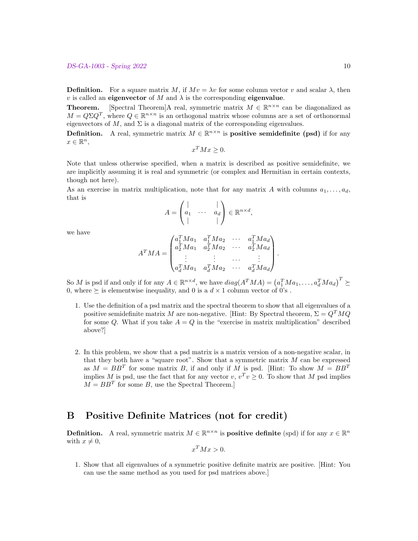**Definition.** For a square matrix M, if  $Mv = \lambda v$  for some column vector v and scalar  $\lambda$ , then v is called an eigenvector of M and  $\lambda$  is the corresponding eigenvalue.

**Theorem.** [Spectral Theorem]A real, symmetric matrix  $M \in \mathbb{R}^{n \times n}$  can be diagonalized as  $M = Q \Sigma Q^T$ , where  $Q \in \mathbb{R}^{n \times n}$  is an orthogonal matrix whose columns are a set of orthonormal eigenvectors of M, and  $\Sigma$  is a diagonal matrix of the corresponding eigenvalues.

**Definition.** A real, symmetric matrix  $M \in \mathbb{R}^{n \times n}$  is **positive semidefinite (psd)** if for any  $x \in \mathbb{R}^n$ ,

$$
x^T M x \ge 0.
$$

Note that unless otherwise specified, when a matrix is described as positive semidefinite, we are implicitly assuming it is real and symmetric (or complex and Hermitian in certain contexts, though not here).

As an exercise in matrix multiplication, note that for any matrix A with columns  $a_1, \ldots, a_d$ , that is

$$
A = \begin{pmatrix} | & & | \\ a_1 & \cdots & a_d \\ | & & | \end{pmatrix} \in \mathbb{R}^{n \times d},
$$

we have

$$
A^T M A = \begin{pmatrix} a_1^T M a_1 & a_1^T M a_2 & \cdots & a_1^T M a_d \\ a_2^T M a_1 & a_2^T M a_2 & \cdots & a_2^T M a_d \\ \vdots & \vdots & \cdots & \vdots \\ a_d^T M a_1 & a_d^T M a_2 & \cdots & a_d^T M a_d \end{pmatrix}.
$$

So M is psd if and only if for any  $A \in \mathbb{R}^{n \times d}$ , we have  $diag(A^T M A) = (a_1^T M a_1, \dots, a_d^T M a_d)^T \succeq$ 0, where  $\succeq$  is elementwise inequality, and 0 is a  $d \times 1$  column vector of 0's.

- 1. Use the definition of a psd matrix and the spectral theorem to show that all eigenvalues of a positive semidefinite matrix M are non-negative. [Hint: By Spectral theorem,  $\Sigma = Q^T M Q$ for some Q. What if you take  $A = Q$  in the "exercise in matrix multiplication" described above?]
- 2. In this problem, we show that a psd matrix is a matrix version of a non-negative scalar, in that they both have a "square root". Show that a symmetric matrix  $M$  can be expressed as  $M = BB^T$  for some matrix B, if and only if M is psd. [Hint: To show  $M = BB^T$ implies M is psd, use the fact that for any vector  $v, v^T v \geq 0$ . To show that M psd implies  $M = BB<sup>T</sup>$  for some B, use the Spectral Theorem.]

# B Positive Definite Matrices (not for credit)

**Definition.** A real, symmetric matrix  $M \in \mathbb{R}^{n \times n}$  is **positive definite** (spd) if for any  $x \in \mathbb{R}^n$ with  $x \neq 0$ ,

$$
x^T M x > 0.
$$

1. Show that all eigenvalues of a symmetric positive definite matrix are positive. [Hint: You can use the same method as you used for psd matrices above.]